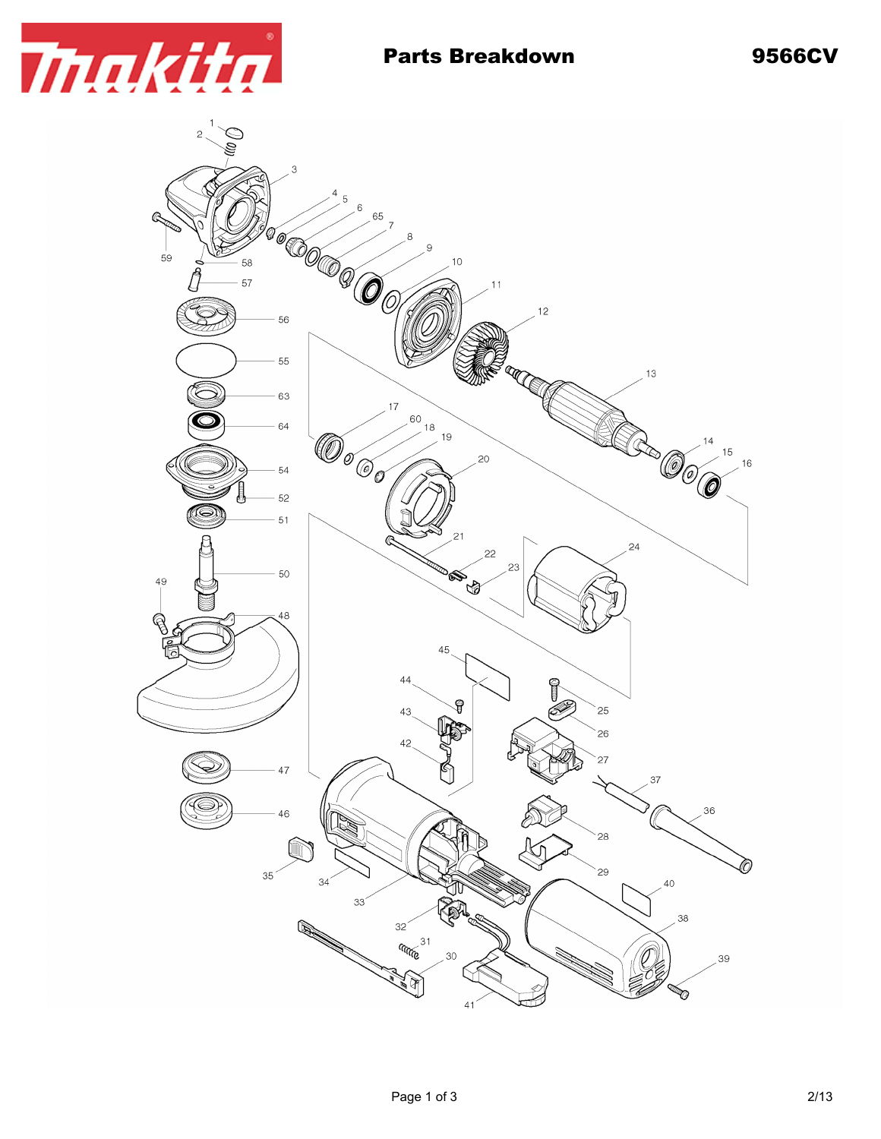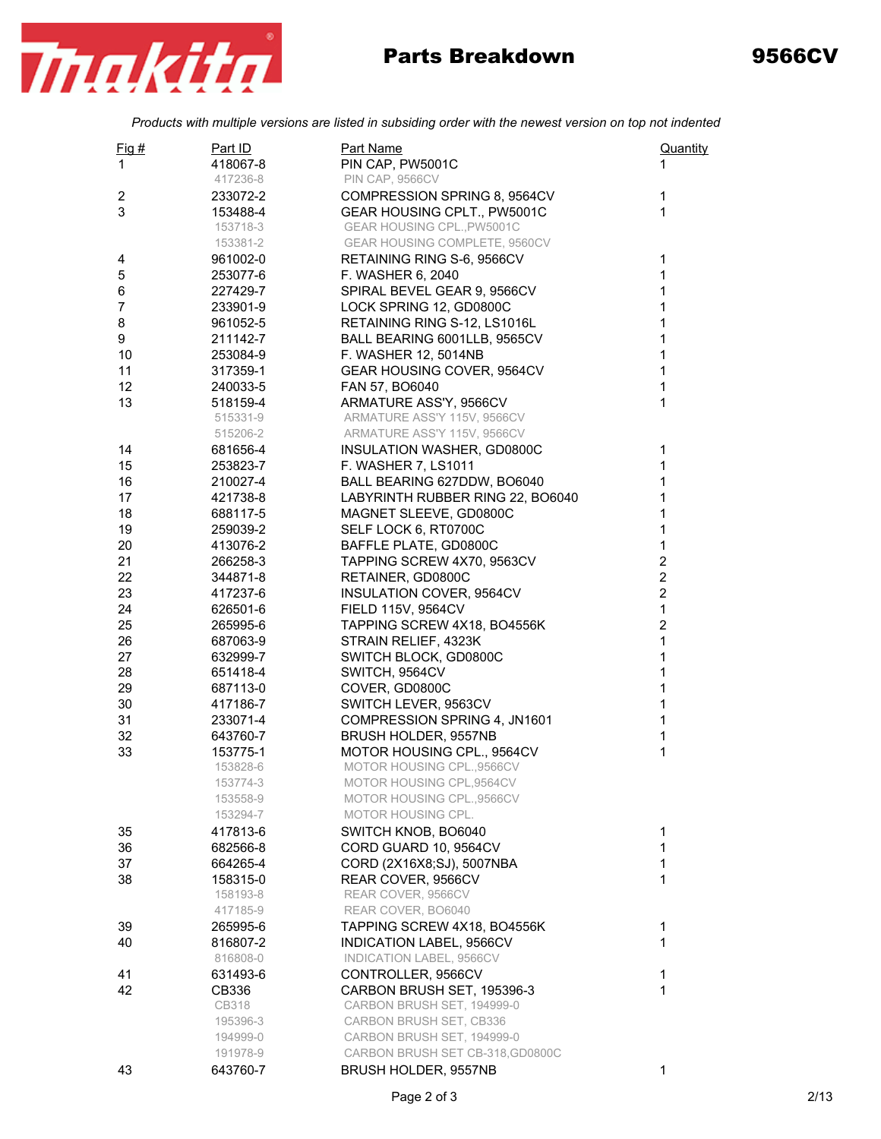

## Parts Breakdown 9566CV

*Products with multiple versions are listed in subsiding order with the newest version on top not indented*

| Fig #          | Part ID              | Part Name                                                  | Quantity                |
|----------------|----------------------|------------------------------------------------------------|-------------------------|
| 1              | 418067-8             | PIN CAP, PW5001C                                           | 1                       |
|                | 417236-8             | <b>PIN CAP, 9566CV</b>                                     |                         |
| 2              | 233072-2             | COMPRESSION SPRING 8, 9564CV                               | 1                       |
| 3              | 153488-4             | GEAR HOUSING CPLT., PW5001C                                | $\mathbf{1}$            |
|                | 153718-3             | GEAR HOUSING CPL., PW5001C                                 |                         |
|                | 153381-2             | GEAR HOUSING COMPLETE, 9560CV                              |                         |
| 4              | 961002-0             | RETAINING RING S-6, 9566CV                                 | 1                       |
| 5              | 253077-6             | F. WASHER 6, 2040                                          | $\mathbf 1$             |
| 6              | 227429-7             | SPIRAL BEVEL GEAR 9, 9566CV                                | $\mathbf{1}$            |
| $\overline{7}$ | 233901-9             | LOCK SPRING 12, GD0800C                                    | $\mathbf 1$             |
| 8              | 961052-5             | RETAINING RING S-12, LS1016L                               | $\mathbf{1}$            |
| 9              | 211142-7             | BALL BEARING 6001LLB, 9565CV                               | $\mathbf{1}$            |
| 10             | 253084-9             | F. WASHER 12, 5014NB                                       | 1                       |
| 11             | 317359-1             | GEAR HOUSING COVER, 9564CV                                 | $\mathbf 1$             |
| 12             | 240033-5             | FAN 57, BO6040                                             | $\mathbf{1}$            |
| 13             | 518159-4             | ARMATURE ASS'Y, 9566CV                                     | $\mathbf{1}$            |
|                | 515331-9             | ARMATURE ASS'Y 115V, 9566CV                                |                         |
|                | 515206-2             | ARMATURE ASS'Y 115V, 9566CV                                |                         |
| 14             | 681656-4             | INSULATION WASHER, GD0800C                                 | $\mathbf 1$             |
| 15             | 253823-7             | F. WASHER 7, LS1011                                        | $\mathbf{1}$            |
| 16             | 210027-4             | BALL BEARING 627DDW, BO6040                                | $\mathbf 1$             |
| 17             |                      |                                                            | $\mathbf{1}$            |
|                | 421738-8             | LABYRINTH RUBBER RING 22, BO6040<br>MAGNET SLEEVE, GD0800C | $\mathbf{1}$            |
| 18<br>19       | 688117-5             |                                                            | $\mathbf{1}$            |
|                | 259039-2             | SELF LOCK 6, RT0700C<br>BAFFLE PLATE, GD0800C              | $\mathbf 1$             |
| 20<br>21       | 413076-2             |                                                            | $\overline{\mathbf{c}}$ |
| 22             | 266258-3             | TAPPING SCREW 4X70, 9563CV                                 | $\overline{\mathbf{c}}$ |
|                | 344871-8<br>417237-6 | RETAINER, GD0800C                                          | $\overline{\mathbf{c}}$ |
| 23<br>24       | 626501-6             | <b>INSULATION COVER, 9564CV</b><br>FIELD 115V, 9564CV      | $\mathbf 1$             |
| 25             | 265995-6             |                                                            | $\overline{2}$          |
| 26             | 687063-9             | TAPPING SCREW 4X18, BO4556K<br>STRAIN RELIEF, 4323K        | $\mathbf{1}$            |
| 27             | 632999-7             | SWITCH BLOCK, GD0800C                                      | 1                       |
| 28             | 651418-4             | SWITCH, 9564CV                                             | $\mathbf 1$             |
| 29             | 687113-0             | COVER, GD0800C                                             | $\mathbf 1$             |
| 30             | 417186-7             | SWITCH LEVER, 9563CV                                       | $\mathbf{1}$            |
| 31             | 233071-4             | COMPRESSION SPRING 4, JN1601                               | $\mathbf{1}$            |
| 32             | 643760-7             | BRUSH HOLDER, 9557NB                                       | $\mathbf{1}$            |
| 33             | 153775-1             | MOTOR HOUSING CPL., 9564CV                                 | 1                       |
|                | 153828-6             | MOTOR HOUSING CPL.,9566CV                                  |                         |
|                | 153774-3             | MOTOR HOUSING CPL,9564CV                                   |                         |
|                | 153558-9             | MOTOR HOUSING CPL.,9566CV                                  |                         |
|                | 153294-7             | MOTOR HOUSING CPL.                                         |                         |
| 35             | 417813-6             | SWITCH KNOB, BO6040                                        | 1                       |
| 36             | 682566-8             | CORD GUARD 10, 9564CV                                      | $\mathbf{1}$            |
| 37             | 664265-4             | CORD (2X16X8;SJ), 5007NBA                                  | $\mathbf{1}$            |
| 38             | 158315-0             | REAR COVER, 9566CV                                         | $\mathbf{1}$            |
|                | 158193-8             | REAR COVER, 9566CV                                         |                         |
|                | 417185-9             | REAR COVER, BO6040                                         |                         |
| 39             | 265995-6             | TAPPING SCREW 4X18, BO4556K                                | 1                       |
| 40             | 816807-2             | INDICATION LABEL, 9566CV                                   | $\mathbf{1}$            |
|                | 816808-0             | INDICATION LABEL, 9566CV                                   |                         |
| 41             | 631493-6             | CONTROLLER, 9566CV                                         | 1                       |
| 42             | CB336                | CARBON BRUSH SET, 195396-3                                 | $\mathbf{1}$            |
|                | CB318                | CARBON BRUSH SET, 194999-0                                 |                         |
|                | 195396-3             | CARBON BRUSH SET, CB336                                    |                         |
|                | 194999-0             | CARBON BRUSH SET, 194999-0                                 |                         |
|                | 191978-9             | CARBON BRUSH SET CB-318, GD0800C                           |                         |
| 43             | 643760-7             | BRUSH HOLDER, 9557NB                                       | 1                       |